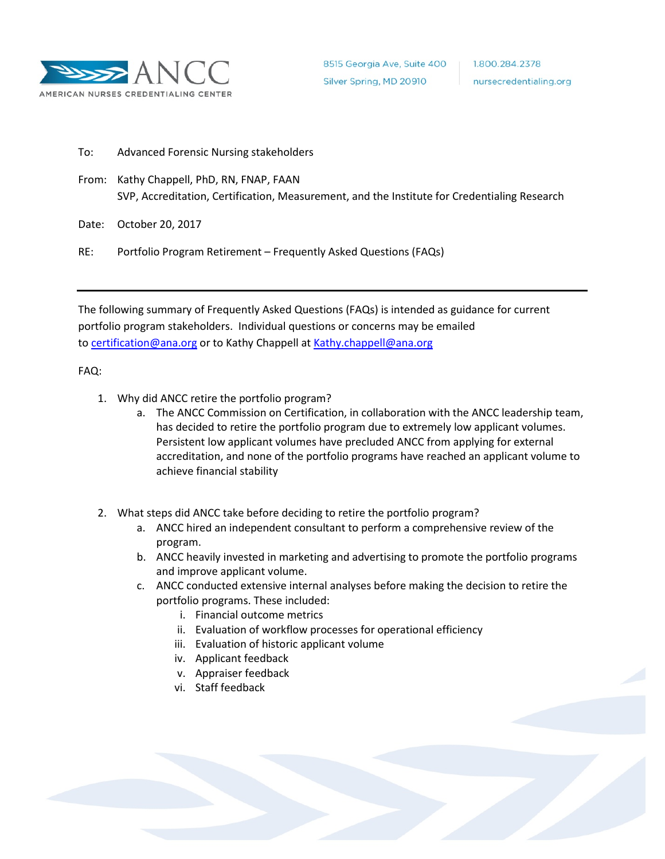

To: Advanced Forensic Nursing stakeholders

From: Kathy Chappell, PhD, RN, FNAP, FAAN SVP, Accreditation, Certification, Measurement, and the Institute for Credentialing Research

Date: October 20, 2017

RE: Portfolio Program Retirement – Frequently Asked Questions (FAQs)

The following summary of Frequently Asked Questions (FAQs) is intended as guidance for current portfolio program stakeholders. Individual questions or concerns may be emailed to [certification@ana.org](mailto:certification@ana.org) or to Kathy Chappell at [Kathy.chappell@ana.org](mailto:Kathy.chappell@ana.org)

## FAQ:

- 1. Why did ANCC retire the portfolio program?
	- a. The ANCC Commission on Certification, in collaboration with the ANCC leadership team, has decided to retire the portfolio program due to extremely low applicant volumes. Persistent low applicant volumes have precluded ANCC from applying for external accreditation, and none of the portfolio programs have reached an applicant volume to achieve financial stability
- 2. What steps did ANCC take before deciding to retire the portfolio program?
	- a. ANCC hired an independent consultant to perform a comprehensive review of the program.
	- b. ANCC heavily invested in marketing and advertising to promote the portfolio programs and improve applicant volume.
	- c. ANCC conducted extensive internal analyses before making the decision to retire the portfolio programs. These included:
		- i. Financial outcome metrics
		- ii. Evaluation of workflow processes for operational efficiency
		- iii. Evaluation of historic applicant volume
		- iv. Applicant feedback
		- v. Appraiser feedback
		- vi. Staff feedback